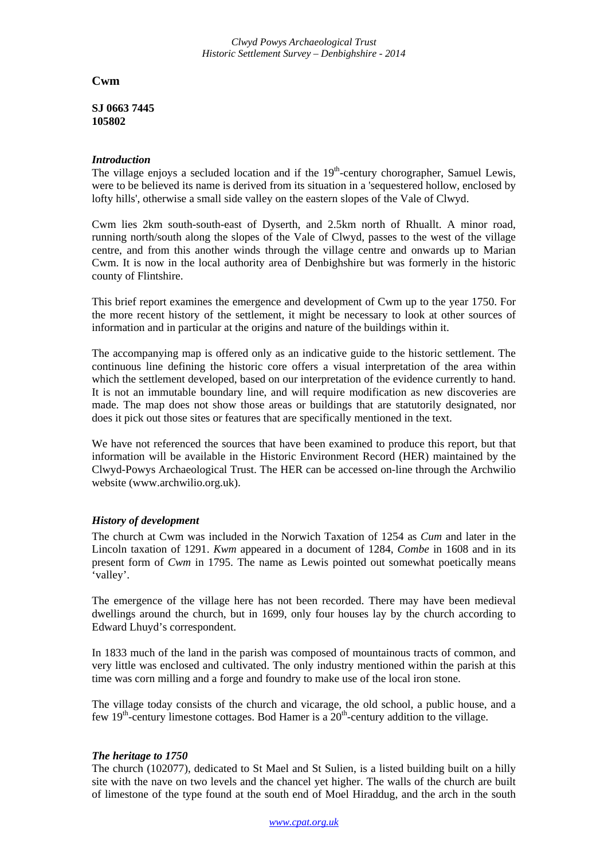**Cwm** 

**SJ 0663 7445 105802**

## *Introduction*

The village enjoys a secluded location and if the  $19<sup>th</sup>$ -century chorographer, Samuel Lewis, were to be believed its name is derived from its situation in a 'sequestered hollow, enclosed by lofty hills', otherwise a small side valley on the eastern slopes of the Vale of Clwyd.

Cwm lies 2km south-south-east of Dyserth, and 2.5km north of Rhuallt. A minor road, running north/south along the slopes of the Vale of Clwyd, passes to the west of the village centre, and from this another winds through the village centre and onwards up to Marian Cwm. It is now in the local authority area of Denbighshire but was formerly in the historic county of Flintshire.

This brief report examines the emergence and development of Cwm up to the year 1750. For the more recent history of the settlement, it might be necessary to look at other sources of information and in particular at the origins and nature of the buildings within it.

The accompanying map is offered only as an indicative guide to the historic settlement. The continuous line defining the historic core offers a visual interpretation of the area within which the settlement developed, based on our interpretation of the evidence currently to hand. It is not an immutable boundary line, and will require modification as new discoveries are made. The map does not show those areas or buildings that are statutorily designated, nor does it pick out those sites or features that are specifically mentioned in the text.

We have not referenced the sources that have been examined to produce this report, but that information will be available in the Historic Environment Record (HER) maintained by the Clwyd-Powys Archaeological Trust. The HER can be accessed on-line through the Archwilio website (www.archwilio.org.uk).

# *History of development*

The church at Cwm was included in the Norwich Taxation of 1254 as *Cum* and later in the Lincoln taxation of 1291. *Kwm* appeared in a document of 1284, *Combe* in 1608 and in its present form of *Cwm* in 1795. The name as Lewis pointed out somewhat poetically means 'valley'.

The emergence of the village here has not been recorded. There may have been medieval dwellings around the church, but in 1699, only four houses lay by the church according to Edward Lhuyd's correspondent.

In 1833 much of the land in the parish was composed of mountainous tracts of common, and very little was enclosed and cultivated. The only industry mentioned within the parish at this time was corn milling and a forge and foundry to make use of the local iron stone.

The village today consists of the church and vicarage, the old school, a public house, and a few 19<sup>th</sup>-century limestone cottages. Bod Hamer is a  $20<sup>th</sup>$ -century addition to the village.

### *The heritage to 1750*

The church (102077), dedicated to St Mael and St Sulien, is a listed building built on a hilly site with the nave on two levels and the chancel yet higher. The walls of the church are built of limestone of the type found at the south end of Moel Hiraddug, and the arch in the south